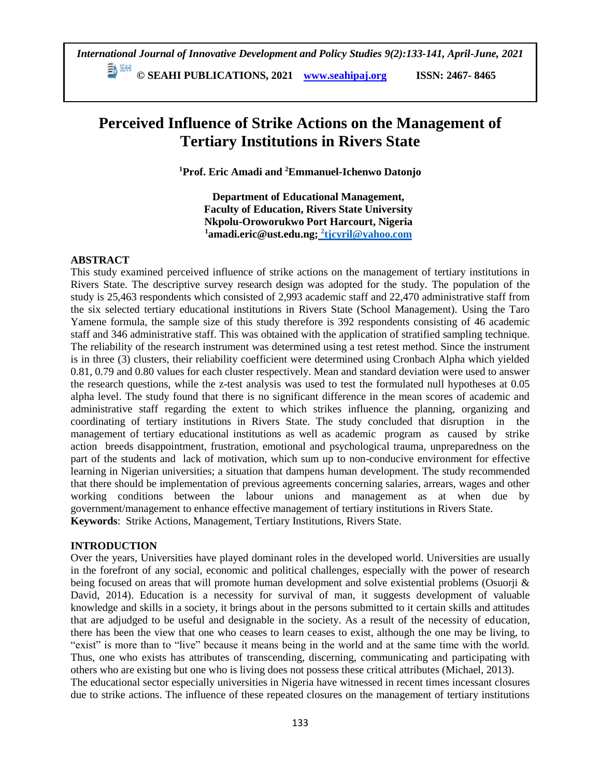**© SEAHI PUBLICATIONS, 2021 [www.seahipaj.org](http://www.seahipaj.org/) ISSN: 2467- 8465**

# **Perceived Influence of Strike Actions on the Management of Tertiary Institutions in Rivers State**

**<sup>1</sup>Prof. Eric Amadi and <sup>2</sup>Emmanuel-Ichenwo Datonjo**

**Department of Educational Management, Faculty of Education, Rivers State University Nkpolu-Oroworukwo Port Harcourt, Nigeria <sup>1</sup>amadi.eric@ust.edu.ng; <sup>2</sup> tjcyril@yahoo.com**

# **ABSTRACT**

This study examined perceived influence of strike actions on the management of tertiary institutions in Rivers State. The descriptive survey research design was adopted for the study. The population of the study is 25,463 respondents which consisted of 2,993 academic staff and 22,470 administrative staff from the six selected tertiary educational institutions in Rivers State (School Management). Using the Taro Yamene formula, the sample size of this study therefore is 392 respondents consisting of 46 academic staff and 346 administrative staff. This was obtained with the application of stratified sampling technique. The reliability of the research instrument was determined using a test retest method. Since the instrument is in three (3) clusters, their reliability coefficient were determined using Cronbach Alpha which yielded 0.81, 0.79 and 0.80 values for each cluster respectively. Mean and standard deviation were used to answer the research questions, while the z-test analysis was used to test the formulated null hypotheses at 0.05 alpha level. The study found that there is no significant difference in the mean scores of academic and administrative staff regarding the extent to which strikes influence the planning, organizing and coordinating of tertiary institutions in Rivers State. The study concluded that disruption in the management of tertiary educational institutions as well as academic program as caused by strike action breeds disappointment, frustration, emotional and psychological trauma, unpreparedness on the part of the students and lack of motivation, which sum up to non-conducive environment for effective learning in Nigerian universities; a situation that dampens human development. The study recommended that there should be implementation of previous agreements concerning salaries, arrears, wages and other working conditions between the labour unions and management as at when due by government/management to enhance effective management of tertiary institutions in Rivers State. **Keywords**: Strike Actions, Management, Tertiary Institutions, Rivers State.

# **INTRODUCTION**

Over the years, Universities have played dominant roles in the developed world. Universities are usually in the forefront of any social, economic and political challenges, especially with the power of research being focused on areas that will promote human development and solve existential problems (Osuorji & David, 2014). Education is a necessity for survival of man, it suggests development of valuable knowledge and skills in a society, it brings about in the persons submitted to it certain skills and attitudes that are adjudged to be useful and designable in the society. As a result of the necessity of education, there has been the view that one who ceases to learn ceases to exist, although the one may be living, to "exist" is more than to "live" because it means being in the world and at the same time with the world. Thus, one who exists has attributes of transcending, discerning, communicating and participating with others who are existing but one who is living does not possess these critical attributes (Michael, 2013). The educational sector especially universities in Nigeria have witnessed in recent times incessant closures due to strike actions. The influence of these repeated closures on the management of tertiary institutions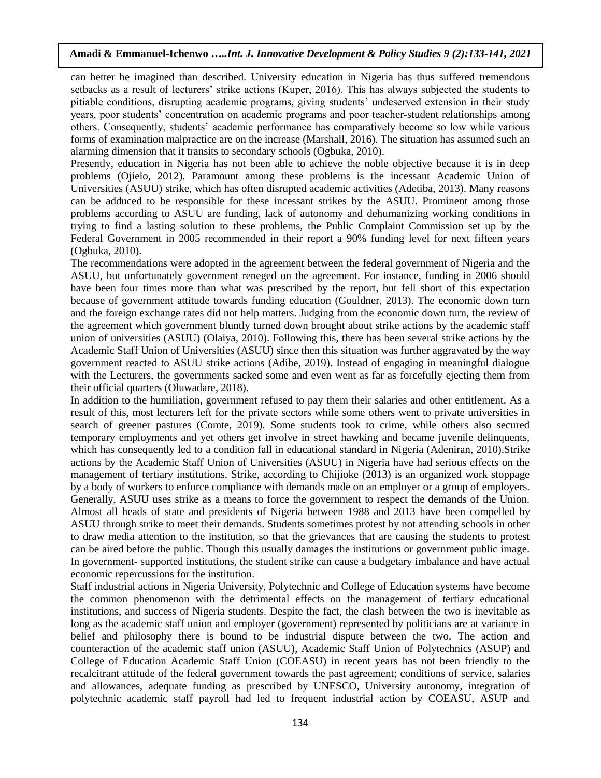can better be imagined than described. University education in Nigeria has thus suffered tremendous setbacks as a result of lecturers' strike actions (Kuper, 2016). This has always subjected the students to pitiable conditions, disrupting academic programs, giving students' undeserved extension in their study years, poor students' concentration on academic programs and poor teacher-student relationships among others. Consequently, students' academic performance has comparatively become so low while various forms of examination malpractice are on the increase (Marshall, 2016). The situation has assumed such an alarming dimension that it transits to secondary schools (Ogbuka, 2010).

Presently, education in Nigeria has not been able to achieve the noble objective because it is in deep problems (Ojielo, 2012). Paramount among these problems is the incessant Academic Union of Universities (ASUU) strike, which has often disrupted academic activities (Adetiba, 2013). Many reasons can be adduced to be responsible for these incessant strikes by the ASUU. Prominent among those problems according to ASUU are funding, lack of autonomy and dehumanizing working conditions in trying to find a lasting solution to these problems, the Public Complaint Commission set up by the Federal Government in 2005 recommended in their report a 90% funding level for next fifteen years (Ogbuka, 2010).

The recommendations were adopted in the agreement between the federal government of Nigeria and the ASUU, but unfortunately government reneged on the agreement. For instance, funding in 2006 should have been four times more than what was prescribed by the report, but fell short of this expectation because of government attitude towards funding education (Gouldner, 2013). The economic down turn and the foreign exchange rates did not help matters. Judging from the economic down turn, the review of the agreement which government bluntly turned down brought about strike actions by the academic staff union of universities (ASUU) (Olaiya, 2010). Following this, there has been several strike actions by the Academic Staff Union of Universities (ASUU) since then this situation was further aggravated by the way government reacted to ASUU strike actions (Adibe, 2019). Instead of engaging in meaningful dialogue with the Lecturers, the governments sacked some and even went as far as forcefully ejecting them from their official quarters (Oluwadare, 2018).

In addition to the humiliation, government refused to pay them their salaries and other entitlement. As a result of this, most lecturers left for the private sectors while some others went to private universities in search of greener pastures (Comte, 2019). Some students took to crime, while others also secured temporary employments and yet others get involve in street hawking and became juvenile delinquents, which has consequently led to a condition fall in educational standard in Nigeria (Adeniran, 2010). Strike actions by the Academic Staff Union of Universities (ASUU) in Nigeria have had serious effects on the management of tertiary institutions. Strike, according to Chijioke (2013) is an organized work stoppage by a body of workers to enforce compliance with demands made on an employer or a group of employers. Generally, ASUU uses strike as a means to force the government to respect the demands of the Union. Almost all heads of state and presidents of Nigeria between 1988 and 2013 have been compelled by ASUU through strike to meet their demands. Students sometimes protest by not attending schools in other to draw media attention to the institution, so that the grievances that are causing the students to protest can be aired before the public. Though this usually damages the institutions or government public image. In government- supported institutions, the student strike can cause a budgetary imbalance and have actual economic repercussions for the institution.

Staff industrial actions in Nigeria University, Polytechnic and College of Education systems have become the common phenomenon with the detrimental effects on the management of tertiary educational institutions, and success of Nigeria students. Despite the fact, the clash between the two is inevitable as long as the academic staff union and employer (government) represented by politicians are at variance in belief and philosophy there is bound to be industrial dispute between the two. The action and counteraction of the academic staff union (ASUU), Academic Staff Union of Polytechnics (ASUP) and College of Education Academic Staff Union (COEASU) in recent years has not been friendly to the recalcitrant attitude of the federal government towards the past agreement; conditions of service, salaries and allowances, adequate funding as prescribed by UNESCO, University autonomy, integration of polytechnic academic staff payroll had led to frequent industrial action by COEASU, ASUP and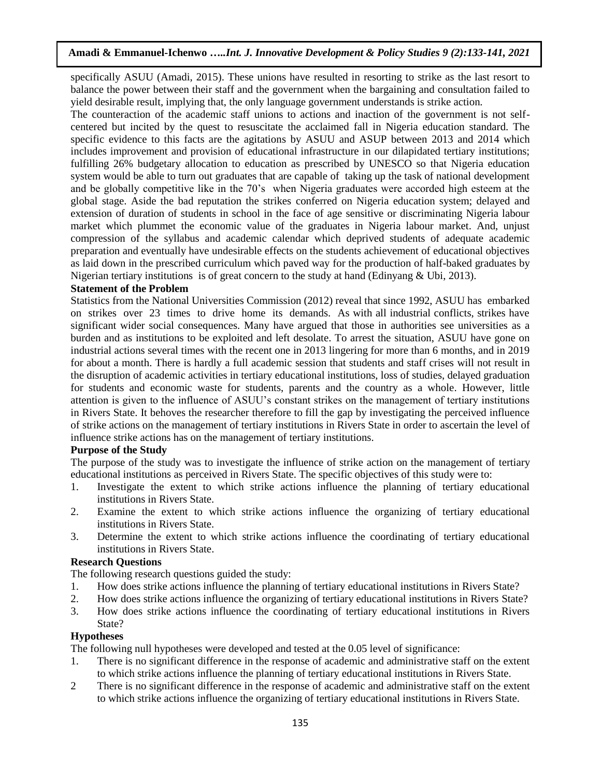specifically ASUU (Amadi, 2015). These unions have resulted in resorting to strike as the last resort to balance the power between their staff and the government when the bargaining and consultation failed to yield desirable result, implying that, the only language government understands is strike action.

The counteraction of the academic staff unions to actions and inaction of the government is not selfcentered but incited by the quest to resuscitate the acclaimed fall in Nigeria education standard. The specific evidence to this facts are the agitations by ASUU and ASUP between 2013 and 2014 which includes improvement and provision of educational infrastructure in our dilapidated tertiary institutions; fulfilling 26% budgetary allocation to education as prescribed by UNESCO so that Nigeria education system would be able to turn out graduates that are capable of taking up the task of national development and be globally competitive like in the 70's when Nigeria graduates were accorded high esteem at the global stage. Aside the bad reputation the strikes conferred on Nigeria education system; delayed and extension of duration of students in school in the face of age sensitive or discriminating Nigeria labour market which plummet the economic value of the graduates in Nigeria labour market. And, unjust compression of the syllabus and academic calendar which deprived students of adequate academic preparation and eventually have undesirable effects on the students achievement of educational objectives as laid down in the prescribed curriculum which paved way for the production of half-baked graduates by Nigerian tertiary institutions is of great concern to the study at hand (Edinyang & Ubi, 2013).

#### **Statement of the Problem**

Statistics from the National Universities Commission (2012) reveal that since 1992, ASUU has embarked on strikes over 23 times to drive home its demands. As with all industrial conflicts, strikes have significant wider social consequences. Many have argued that those in authorities see universities as a burden and as institutions to be exploited and left desolate. To arrest the situation, ASUU have gone on industrial actions several times with the recent one in 2013 lingering for more than 6 months, and in 2019 for about a month. There is hardly a full academic session that students and staff crises will not result in the disruption of academic activities in tertiary educational institutions, loss of studies, delayed graduation for students and economic waste for students, parents and the country as a whole. However, little attention is given to the influence of ASUU's constant strikes on the management of tertiary institutions in Rivers State. It behoves the researcher therefore to fill the gap by investigating the perceived influence of strike actions on the management of tertiary institutions in Rivers State in order to ascertain the level of influence strike actions has on the management of tertiary institutions.

#### **Purpose of the Study**

The purpose of the study was to investigate the influence of strike action on the management of tertiary educational institutions as perceived in Rivers State. The specific objectives of this study were to:

- 1. Investigate the extent to which strike actions influence the planning of tertiary educational institutions in Rivers State.
- 2. Examine the extent to which strike actions influence the organizing of tertiary educational institutions in Rivers State.
- 3. Determine the extent to which strike actions influence the coordinating of tertiary educational institutions in Rivers State.

#### **Research Questions**

The following research questions guided the study:

- 1. How does strike actions influence the planning of tertiary educational institutions in Rivers State?
- 2. How does strike actions influence the organizing of tertiary educational institutions in Rivers State?
- 3. How does strike actions influence the coordinating of tertiary educational institutions in Rivers State?

#### **Hypotheses**

The following null hypotheses were developed and tested at the 0.05 level of significance:

- 1. There is no significant difference in the response of academic and administrative staff on the extent to which strike actions influence the planning of tertiary educational institutions in Rivers State.
- 2 There is no significant difference in the response of academic and administrative staff on the extent to which strike actions influence the organizing of tertiary educational institutions in Rivers State.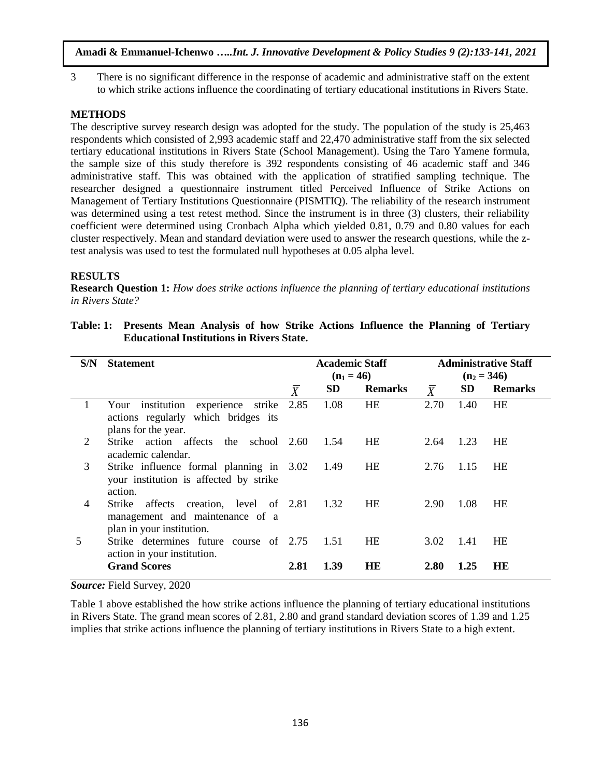3 There is no significant difference in the response of academic and administrative staff on the extent to which strike actions influence the coordinating of tertiary educational institutions in Rivers State.

# **METHODS**

The descriptive survey research design was adopted for the study. The population of the study is 25,463 respondents which consisted of 2,993 academic staff and 22,470 administrative staff from the six selected tertiary educational institutions in Rivers State (School Management). Using the Taro Yamene formula, the sample size of this study therefore is 392 respondents consisting of 46 academic staff and 346 administrative staff. This was obtained with the application of stratified sampling technique. The researcher designed a questionnaire instrument titled Perceived Influence of Strike Actions on Management of Tertiary Institutions Questionnaire (PISMTIQ). The reliability of the research instrument was determined using a test retest method. Since the instrument is in three (3) clusters, their reliability coefficient were determined using Cronbach Alpha which yielded 0.81, 0.79 and 0.80 values for each cluster respectively. Mean and standard deviation were used to answer the research questions, while the ztest analysis was used to test the formulated null hypotheses at 0.05 alpha level.

# **RESULTS**

**Research Question 1:** *How does strike actions influence the planning of tertiary educational institutions in Rivers State?*

| S/N            | <b>Statement</b>                                                                                             |                | <b>Academic Staff</b><br>$(n_1 = 46)$ |                | <b>Administrative Staff</b><br>$(n_2 = 346)$ |           |                |  |
|----------------|--------------------------------------------------------------------------------------------------------------|----------------|---------------------------------------|----------------|----------------------------------------------|-----------|----------------|--|
|                |                                                                                                              | $\overline{X}$ | <b>SD</b>                             | <b>Remarks</b> | $\overline{X}$                               | <b>SD</b> | <b>Remarks</b> |  |
| 1              | institution experience strike<br>Your<br>actions regularly which bridges its<br>plans for the year.          | 2.85           | 1.08                                  | HE             | 2.70                                         | 1.40      | <b>HE</b>      |  |
| 2              | Strike action affects<br>the<br>school 2.60<br>academic calendar.                                            |                | 1.54                                  | <b>HE</b>      | 2.64                                         | 1.23      | <b>HE</b>      |  |
| 3              | Strike influence formal planning in 3.02<br>your institution is affected by strike<br>action.                |                | 1.49                                  | HE             | 2.76                                         | 1.15      | <b>HE</b>      |  |
| $\overline{4}$ | Strike<br>creation, level of 2.81<br>affects<br>management and maintenance of a<br>plan in your institution. |                | 1.32                                  | HE             | 2.90                                         | 1.08      | HE             |  |
| 5              | Strike determines future course of 2.75<br>action in your institution.                                       |                | 1.51                                  | <b>HE</b>      | 3.02                                         | 1.41      | <b>HE</b>      |  |
|                | <b>Grand Scores</b>                                                                                          | 2.81           | 1.39                                  | HE             | 2.80                                         | 1.25      | HE             |  |

**Table: 1: Presents Mean Analysis of how Strike Actions Influence the Planning of Tertiary Educational Institutions in Rivers State.**

*Source:* Field Survey, 2020

Table 1 above established the how strike actions influence the planning of tertiary educational institutions in Rivers State. The grand mean scores of 2.81, 2.80 and grand standard deviation scores of 1.39 and 1.25 implies that strike actions influence the planning of tertiary institutions in Rivers State to a high extent.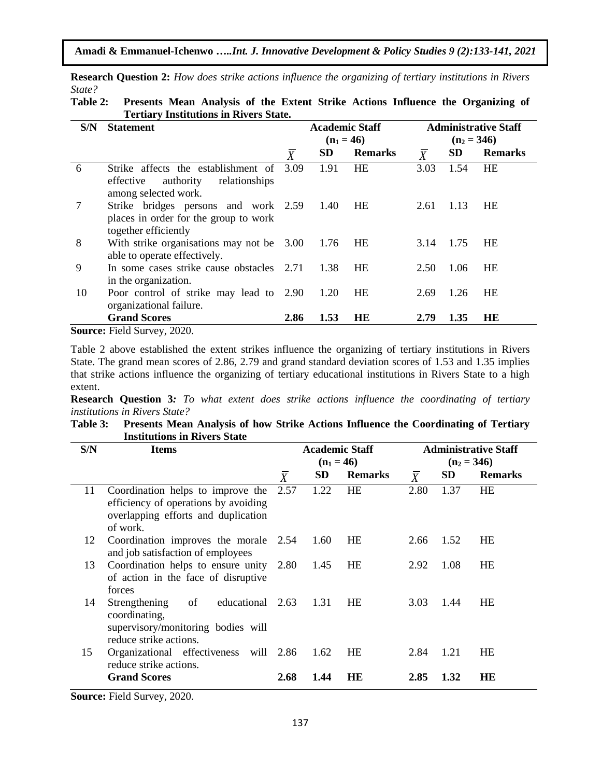|        |  |  |  |  | <b>Research Question 2:</b> How does strike actions influence the organizing of tertiary institutions in Rivers |  |  |  |
|--------|--|--|--|--|-----------------------------------------------------------------------------------------------------------------|--|--|--|
| State? |  |  |  |  |                                                                                                                 |  |  |  |
| ----   |  |  |  |  |                                                                                                                 |  |  |  |

| Table 2: Presents Mean Analysis of the Extent Strike Actions Influence the Organizing of |
|------------------------------------------------------------------------------------------|
| <b>Tertiary Institutions in Rivers State.</b>                                            |

| S/N | <b>Statement</b>                                                                                       |                  |              | <b>Academic Staff</b> | <b>Administrative Staff</b> |               |                |  |  |
|-----|--------------------------------------------------------------------------------------------------------|------------------|--------------|-----------------------|-----------------------------|---------------|----------------|--|--|
|     |                                                                                                        |                  | $(n_1 = 46)$ |                       |                             | $(n_2 = 346)$ |                |  |  |
|     |                                                                                                        | $\boldsymbol{X}$ | <b>SD</b>    | <b>Remarks</b>        | $\boldsymbol{X}$            | <b>SD</b>     | <b>Remarks</b> |  |  |
| 6   | Strike affects the establishment of<br>authority<br>relationships<br>effective<br>among selected work. | 3.09             | 1.91         | <b>HE</b>             | 3.03                        | 1.54          | HE             |  |  |
| 7   | Strike bridges persons and work 2.59<br>places in order for the group to work<br>together efficiently  |                  | 1.40         | HE                    | 2.61                        | 1.13          | HE             |  |  |
| 8   | With strike organisations may not be 3.00<br>able to operate effectively.                              |                  | 1.76         | <b>HE</b>             | 3.14                        | 1.75          | <b>HE</b>      |  |  |
| 9   | In some cases strike cause obstacles 2.71<br>in the organization.                                      |                  | 1.38         | HE                    | 2.50                        | 1.06          | HE             |  |  |
| 10  | Poor control of strike may lead to 2.90<br>organizational failure.                                     |                  | 1.20         | <b>HE</b>             | 2.69                        | 1.26          | <b>HE</b>      |  |  |
|     | <b>Grand Scores</b>                                                                                    | 2.86             | 1.53         | <b>HE</b>             | 2.79                        | 1.35          | HE             |  |  |
|     | $\mathbf{S}_0$ urca: Field $\mathbf{S}_1$ urvay 2020                                                   |                  |              |                       |                             |               |                |  |  |

**Source:** Field Survey, 2020.

Table 2 above established the extent strikes influence the organizing of tertiary institutions in Rivers State. The grand mean scores of 2.86, 2.79 and grand standard deviation scores of 1.53 and 1.35 implies that strike actions influence the organizing of tertiary educational institutions in Rivers State to a high extent.

**Research Question 3***: To what extent does strike actions influence the coordinating of tertiary institutions in Rivers State?*

| Table 3: Presents Mean Analysis of how Strike Actions Influence the Coordinating of Tertiary |
|----------------------------------------------------------------------------------------------|
| <b>Institutions in Rivers State</b>                                                          |

| S/N | Items                                                                                                                        |                  |              | <b>Academic Staff</b> | <b>Administrative Staff</b> |           |                |  |
|-----|------------------------------------------------------------------------------------------------------------------------------|------------------|--------------|-----------------------|-----------------------------|-----------|----------------|--|
|     |                                                                                                                              |                  | $(n_1 = 46)$ |                       |                             |           | $(n_2 = 346)$  |  |
|     |                                                                                                                              | $\boldsymbol{X}$ | SD           | <b>Remarks</b>        | $\overline{X}$              | <b>SD</b> | <b>Remarks</b> |  |
| 11  | Coordination helps to improve the<br>efficiency of operations by avoiding<br>overlapping efforts and duplication<br>of work. | 2.57             | 1.22         | HE                    | 2.80                        | 1.37      | HE             |  |
| 12  | Coordination improves the morale 2.54<br>and job satisfaction of employees                                                   |                  | 1.60         | HE                    | 2.66                        | 1.52      | <b>HE</b>      |  |
| 13  | Coordination helps to ensure unity 2.80<br>of action in the face of disruptive<br>forces                                     |                  | 1.45         | HE                    | 2.92                        | 1.08      | <b>HE</b>      |  |
| 14  | of<br>educational 2.63<br>Strengthening<br>coordinating,<br>supervisory/monitoring bodies will<br>reduce strike actions.     |                  | 1.31         | <b>HE</b>             | 3.03                        | 1.44      | <b>HE</b>      |  |
| 15  | Organizational effectiveness will 2.86<br>reduce strike actions.                                                             |                  | 1.62         | HE                    | 2.84                        | 1.21      | <b>HE</b>      |  |
|     | <b>Grand Scores</b>                                                                                                          | 2.68             | 1.44         | <b>HE</b>             | 2.85                        | 1.32      | HЕ             |  |

**Source:** Field Survey, 2020.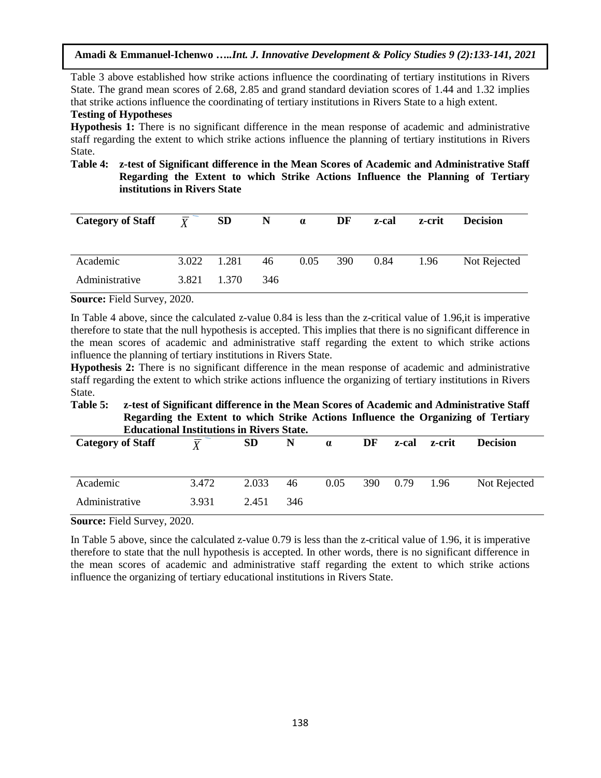Table 3 above established how strike actions influence the coordinating of tertiary institutions in Rivers State. The grand mean scores of 2.68, 2.85 and grand standard deviation scores of 1.44 and 1.32 implies that strike actions influence the coordinating of tertiary institutions in Rivers State to a high extent.

# **Testing of Hypotheses**

**Hypothesis 1:** There is no significant difference in the mean response of academic and administrative staff regarding the extent to which strike actions influence the planning of tertiary institutions in Rivers State.

### **Table 4: z-test of Significant difference in the Mean Scores of Academic and Administrative Staff Regarding the Extent to which Strike Actions Influence the Planning of Tertiary institutions in Rivers State**

| <b>Category of Staff</b> | $\frac{\overline{Y}}{Y}$ | <b>SD</b> | $\mathbf N$ | $\alpha$ | DF  | z-cal | z-crit | <b>Decision</b> |
|--------------------------|--------------------------|-----------|-------------|----------|-----|-------|--------|-----------------|
| Academic                 | 3.022                    | 1.281     | 46          | 0.05     | 390 | 0.84  | 1.96   | Not Rejected    |
| Administrative           | 3.821                    | 1.370     | 346         |          |     |       |        |                 |

**Source:** Field Survey, 2020.

In Table 4 above, since the calculated z-value 0.84 is less than the z-critical value of 1.96,it is imperative therefore to state that the null hypothesis is accepted. This implies that there is no significant difference in the mean scores of academic and administrative staff regarding the extent to which strike actions influence the planning of tertiary institutions in Rivers State.

**Hypothesis 2:** There is no significant difference in the mean response of academic and administrative staff regarding the extent to which strike actions influence the organizing of tertiary institutions in Rivers State.

#### **Table 5: z-test of Significant difference in the Mean Scores of Academic and Administrative Staff Regarding the Extent to which Strike Actions Influence the Organizing of Tertiary Educational Institutions in Rivers State.**

| <b>Category of Staff</b> | _ _<br>$\mathbf v$ | SD    | N   | $\alpha$ | DF | z-cal    | z-crit | <b>Decision</b> |
|--------------------------|--------------------|-------|-----|----------|----|----------|--------|-----------------|
| Academic                 | 3.472              | 2.033 | 46  | 0.05     |    | 390 0.79 | 1.96   | Not Rejected    |
| Administrative           | 3.931              | 2.451 | 346 |          |    |          |        |                 |

**Source:** Field Survey, 2020.

In Table 5 above, since the calculated z-value 0.79 is less than the z-critical value of 1.96, it is imperative therefore to state that the null hypothesis is accepted. In other words, there is no significant difference in the mean scores of academic and administrative staff regarding the extent to which strike actions influence the organizing of tertiary educational institutions in Rivers State.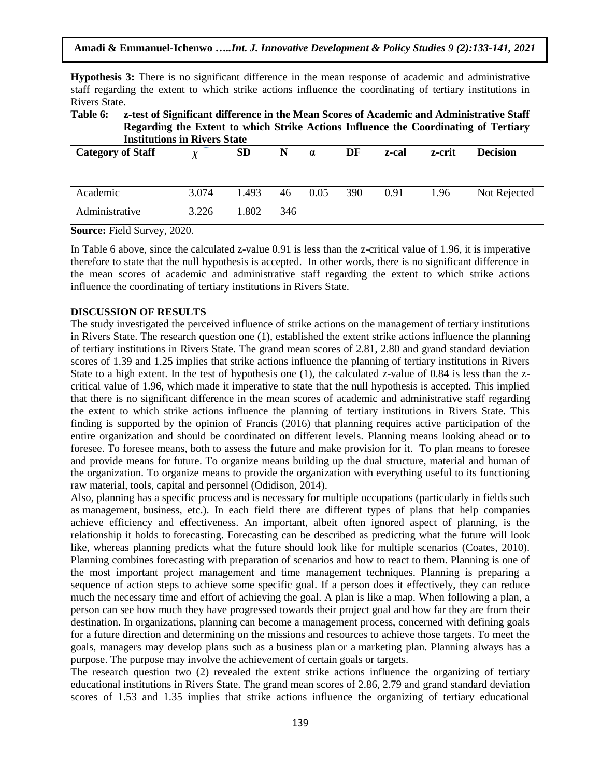**Amadi & Emmanuel-Ichenwo …***..Int. J. Innovative Development & Policy Studies 9 (2):133-141, 2021*

**Hypothesis 3:** There is no significant difference in the mean response of academic and administrative staff regarding the extent to which strike actions influence the coordinating of tertiary institutions in Rivers State.

**Table 6: z-test of Significant difference in the Mean Scores of Academic and Administrative Staff Regarding the Extent to which Strike Actions Influence the Coordinating of Tertiary Institutions in Rivers State**

| <b>Category of Staff</b> | $\overline{\overline{V}}$ | <b>SD</b> | N   | $\alpha$ | DF  | z-cal | z-crit | <b>Decision</b> |
|--------------------------|---------------------------|-----------|-----|----------|-----|-------|--------|-----------------|
| Academic                 | 3.074                     | 1.493     | 46  | 0.05     | 390 | 0.91  | 1.96   | Not Rejected    |
| Administrative           | 3.226                     | 1.802     | 346 |          |     |       |        |                 |

**Source:** Field Survey, 2020.

In Table 6 above, since the calculated z-value 0.91 is less than the z-critical value of 1.96, it is imperative therefore to state that the null hypothesis is accepted. In other words, there is no significant difference in the mean scores of academic and administrative staff regarding the extent to which strike actions influence the coordinating of tertiary institutions in Rivers State.

#### **DISCUSSION OF RESULTS**

The study investigated the perceived influence of strike actions on the management of tertiary institutions in Rivers State. The research question one (1), established the extent strike actions influence the planning of tertiary institutions in Rivers State. The grand mean scores of 2.81, 2.80 and grand standard deviation scores of 1.39 and 1.25 implies that strike actions influence the planning of tertiary institutions in Rivers State to a high extent. In the test of hypothesis one (1), the calculated z-value of 0.84 is less than the zcritical value of 1.96, which made it imperative to state that the null hypothesis is accepted. This implied that there is no significant difference in the mean scores of academic and administrative staff regarding the extent to which strike actions influence the planning of tertiary institutions in Rivers State. This finding is supported by the opinion of Francis (2016) that planning requires active participation of the entire organization and should be coordinated on different levels. Planning means looking ahead or to foresee. To foresee means, both to assess the future and make provision for it. To plan means to foresee and provide means for future. To organize means building up the dual structure, material and human of the organization. To organize means to provide the organization with everything useful to its functioning raw material, tools, capital and personnel (Odidison, 2014).

Also, planning has a specific process and is necessary for multiple occupations (particularly in fields such as [management,](https://en.wikipedia.org/wiki/Management) [business,](https://en.wikipedia.org/wiki/Business) etc.). In each field there are different types of plans that help companies achieve efficiency and effectiveness. An important, albeit often ignored aspect of planning, is the relationship it holds to [forecasting.](https://en.wikipedia.org/wiki/Forecasting) Forecasting can be described as predicting what the future will look like, whereas planning predicts what the future should look like for multiple scenarios (Coates, 2010). Planning combines forecasting with [preparation](https://en.wikipedia.org/wiki/Preparation_(principle)) of scenarios and how to react to them. Planning is one of the most important project management and time management techniques. Planning is preparing a sequence of action steps to achieve some specific goal. If a person does it effectively, they can reduce much the necessary time and effort of achieving the goal. A plan is like a map. When following a plan, a person can see how much they have progressed towards their project goal and how far they are from their destination. In organizations, planning can become a management process, concerned with defining goals for a future direction and determining on the missions and resources to achieve those targets. To meet the goals, managers may develop plans such as a [business plan](https://en.wikipedia.org/wiki/Business_plan) or a [marketing plan.](https://en.wikipedia.org/wiki/Marketing_plan) Planning always has a purpose. The purpose may involve the achievement of certain goals or targets.

The research question two (2) revealed the extent strike actions influence the organizing of tertiary educational institutions in Rivers State. The grand mean scores of 2.86, 2.79 and grand standard deviation scores of 1.53 and 1.35 implies that strike actions influence the organizing of tertiary educational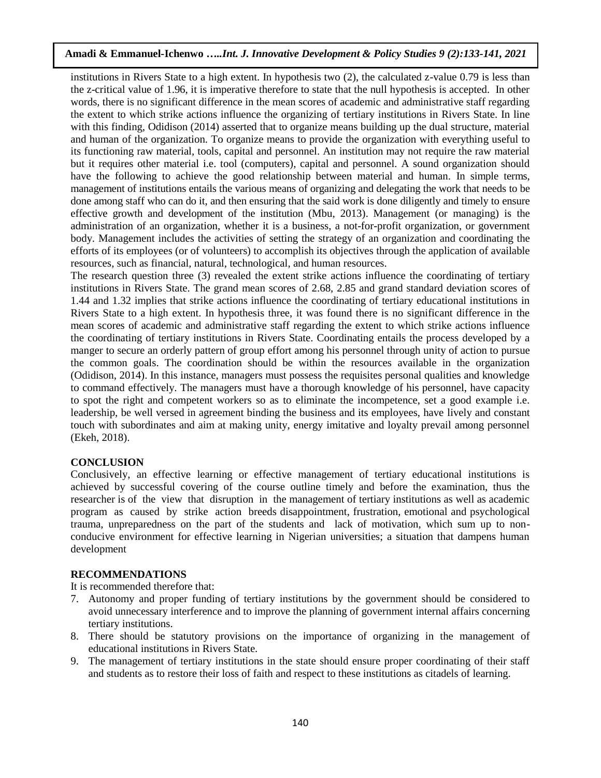institutions in Rivers State to a high extent. In hypothesis two (2), the calculated z-value 0.79 is less than the z-critical value of 1.96, it is imperative therefore to state that the null hypothesis is accepted. In other words, there is no significant difference in the mean scores of academic and administrative staff regarding the extent to which strike actions influence the organizing of tertiary institutions in Rivers State. In line with this finding, Odidison (2014) asserted that to organize means building up the dual structure, material and human of the organization. To organize means to provide the organization with everything useful to its functioning raw material, tools, capital and personnel. An institution may not require the raw material but it requires other material i.e. tool (computers), capital and personnel. A sound organization should have the following to achieve the good relationship between material and human. In simple terms, management of institutions entails the various means of [organizing](https://www.toppr.com/guides/fundamentals-of-economics-and-management-cma/organising/process-of-organizing/) and delegating the work that needs to be done among staff who can do it, and then ensuring that the said work is done diligently and timely to ensure effective growth and development of the institution (Mbu, 2013). Management (or managing) is the administration of an [organization,](https://en.wikipedia.org/wiki/Organization) whether it is a [business,](https://en.wikipedia.org/wiki/Business) a [not-for-profit](https://en.wikipedia.org/wiki/Not-for-profit) organization, or government body. Management includes the activities of setting the [strategy](https://en.wikipedia.org/wiki/Strategic_management) of an [organization](https://en.wikipedia.org/wiki/Organization) and coordinating the efforts of its [employees](https://en.wikipedia.org/wiki/Employee) (or of volunteers) to accomplish its [objectives](https://en.wikipedia.org/wiki/Goal) through the application of available [resources,](https://en.wikipedia.org/wiki/Resource_(economics)) such as [financial,](https://en.wikipedia.org/wiki/Financial) [natural,](https://en.wikipedia.org/wiki/Natural_resources) [technological,](https://en.wikipedia.org/wiki/Technological) and [human resources.](https://en.wikipedia.org/wiki/Human_resources)

The research question three (3) revealed the extent strike actions influence the coordinating of tertiary institutions in Rivers State. The grand mean scores of 2.68, 2.85 and grand standard deviation scores of 1.44 and 1.32 implies that strike actions influence the coordinating of tertiary educational institutions in Rivers State to a high extent. In hypothesis three, it was found there is no significant difference in the mean scores of academic and administrative staff regarding the extent to which strike actions influence the coordinating of tertiary institutions in Rivers State. Coordinating entails the process developed by a manger to secure an orderly pattern of group effort among his personnel through unity of action to pursue the common goals. The coordination should be within the resources available in the organization (Odidison, 2014). In this instance, managers must possess the requisites personal qualities and knowledge to command effectively. The managers must have a thorough knowledge of his personnel, have capacity to spot the right and competent workers so as to eliminate the incompetence, set a good example i.e. leadership, be well versed in agreement binding the business and its employees, have lively and constant touch with subordinates and aim at making unity, energy imitative and loyalty prevail among personnel (Ekeh, 2018).

#### **CONCLUSION**

Conclusively, an effective learning or effective management of tertiary educational institutions is achieved by successful covering of the course outline timely and before the examination, thus the researcher is of the view that disruption in the management of tertiary institutions as well as academic program as caused by strike action breeds disappointment, frustration, emotional and psychological trauma, unpreparedness on the part of the students and lack of motivation, which sum up to nonconducive environment for effective learning in Nigerian universities; a situation that dampens human development

#### **RECOMMENDATIONS**

It is recommended therefore that:

- 7. Autonomy and proper funding of tertiary institutions by the government should be considered to avoid unnecessary interference and to improve the planning of government internal affairs concerning tertiary institutions.
- 8. There should be statutory provisions on the importance of organizing in the management of educational institutions in Rivers State.
- 9. The management of tertiary institutions in the state should ensure proper coordinating of their staff and students as to restore their loss of faith and respect to these institutions as citadels of learning.